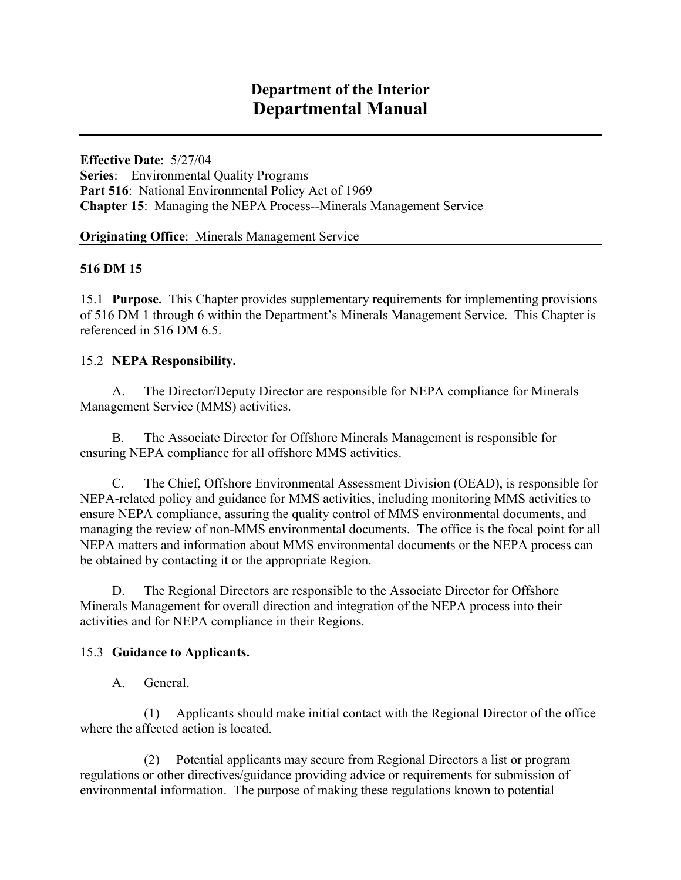**Series**: Environmental Quality Programs Part 516: National Environmental Policy Act of 1969 **Effective Date**: 5/27/04 **Chapter 15**: Managing the NEPA Process--Minerals Management Service

**Originating Office**: Minerals Management Service

### **516 DM 15**

15.1 **Purpose.** This Chapter provides supplementary requirements for implementing provisions of 516 DM 1 through 6 within the Department's Minerals Management Service. This Chapter is referenced in 516 DM 6.5.

### 15.2 **NEPA Responsibility.**

A. The Director/Deputy Director are responsible for NEPA compliance for Minerals Management Service (MMS) activities.

 B. The Associate Director for Offshore Minerals Management is responsible for ensuring NEPA compliance for all offshore MMS activities.

 managing the review of non-MMS environmental documents. The office is the focal point for all C. The Chief, Offshore Environmental Assessment Division (OEAD), is responsible for NEPA-related policy and guidance for MMS activities, including monitoring MMS activities to ensure NEPA compliance, assuring the quality control of MMS environmental documents, and NEPA matters and information about MMS environmental documents or the NEPA process can be obtained by contacting it or the appropriate Region.

D. The Regional Directors are responsible to the Associate Director for Offshore Minerals Management for overall direction and integration of the NEPA process into their activities and for NEPA compliance in their Regions.

#### 15.3 **Guidance to Applicants.**

A. General.

where the affected action is located. (1) Applicants should make initial contact with the Regional Director of the office

 regulations or other directives/guidance providing advice or requirements for submission of (2) Potential applicants may secure from Regional Directors a list or program environmental information. The purpose of making these regulations known to potential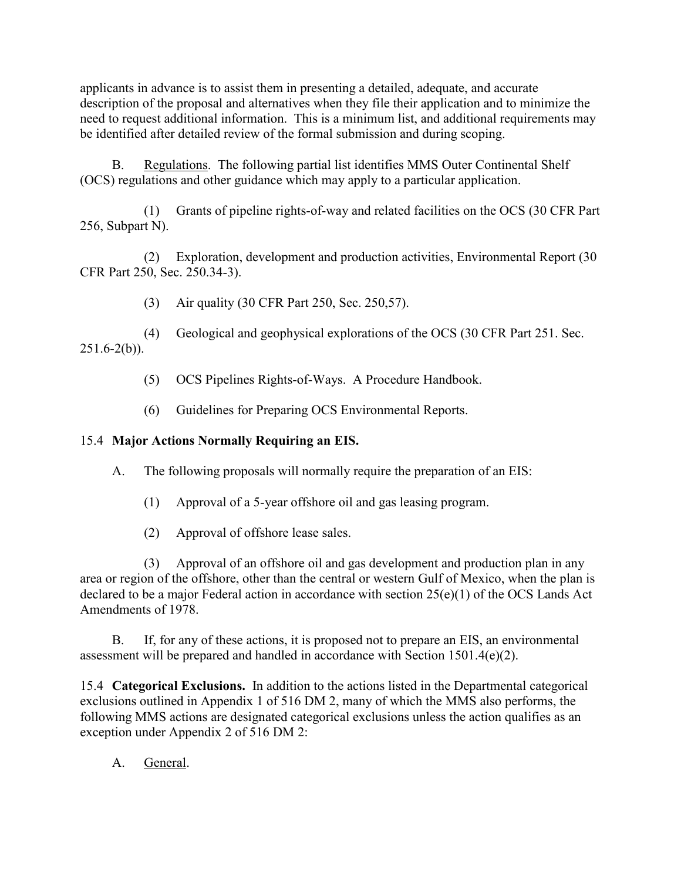applicants in advance is to assist them in presenting a detailed, adequate, and accurate description of the proposal and alternatives when they file their application and to minimize the need to request additional information. This is a minimum list, and additional requirements may be identified after detailed review of the formal submission and during scoping.

B. Regulations. The following partial list identifies MMS Outer Continental Shelf (OCS) regulations and other guidance which may apply to a particular application.

(1) Grants of pipeline rights-of-way and related facilities on the OCS (30 CFR Part 256, Subpart N).

(2) Exploration, development and production activities, Environmental Report (30 CFR Part 250, Sec. 250.34-3).

(3) Air quality (30 CFR Part 250, Sec. 250,57).

(4) Geological and geophysical explorations of the OCS (30 CFR Part 251. Sec.  $251.6-2(b)$ ).

- (5) OCS Pipelines Rights-of-Ways. A Procedure Handbook.
- (6) Guidelines for Preparing OCS Environmental Reports.

# 15.4 **Major Actions Normally Requiring an EIS.**

A. The following proposals will normally require the preparation of an EIS:

- (1) Approval of a 5-year offshore oil and gas leasing program.
- (2) Approval of offshore lease sales.

 declared to be a major Federal action in accordance with section 25(e)(1) of the OCS Lands Act (3) Approval of an offshore oil and gas development and production plan in any area or region of the offshore, other than the central or western Gulf of Mexico, when the plan is Amendments of 1978.

B. If, for any of these actions, it is proposed not to prepare an EIS, an environmental assessment will be prepared and handled in accordance with Section 1501.4(e)(2).

 exclusions outlined in Appendix 1 of 516 DM 2, many of which the MMS also performs, the 15.4 **Categorical Exclusions.** In addition to the actions listed in the Departmental categorical following MMS actions are designated categorical exclusions unless the action qualifies as an exception under Appendix 2 of 516 DM 2:

A. General.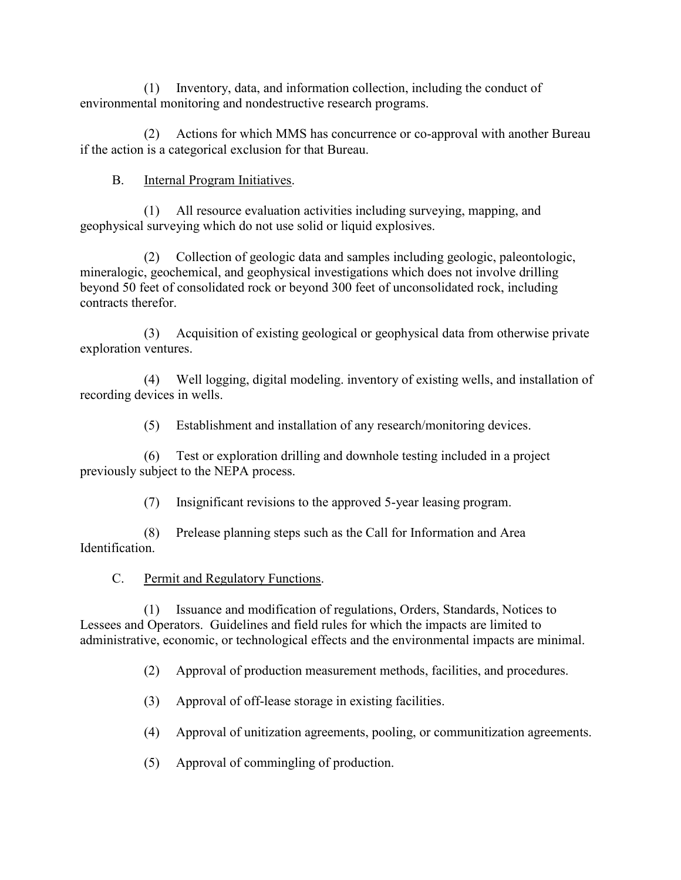(1) Inventory, data, and information collection, including the conduct of environmental monitoring and nondestructive research programs.

(2) Actions for which MMS has concurrence or co-approval with another Bureau if the action is a categorical exclusion for that Bureau.

## B. Internal Program Initiatives.

(1) All resource evaluation activities including surveying, mapping, and geophysical surveying which do not use solid or liquid explosives.

(2) Collection of geologic data and samples including geologic, paleontologic, mineralogic, geochemical, and geophysical investigations which does not involve drilling beyond 50 feet of consolidated rock or beyond 300 feet of unconsolidated rock, including contracts therefor.

(3) Acquisition of existing geological or geophysical data from otherwise private exploration ventures.

(4) Well logging, digital modeling. inventory of existing wells, and installation of recording devices in wells.

(5) Establishment and installation of any research/monitoring devices.

(6) Test or exploration drilling and downhole testing included in a project previously subject to the NEPA process.

(7) Insignificant revisions to the approved 5-year leasing program.

(8) Prelease planning steps such as the Call for Information and Area Identification.

C. Permit and Regulatory Functions.

(1) Issuance and modification of regulations, Orders, Standards, Notices to Lessees and Operators. Guidelines and field rules for which the impacts are limited to administrative, economic, or technological effects and the environmental impacts are minimal.

(2) Approval of production measurement methods, facilities, and procedures.

(3) Approval of off-lease storage in existing facilities.

(4) Approval of unitization agreements, pooling, or communitization agreements.

(5) Approval of commingling of production.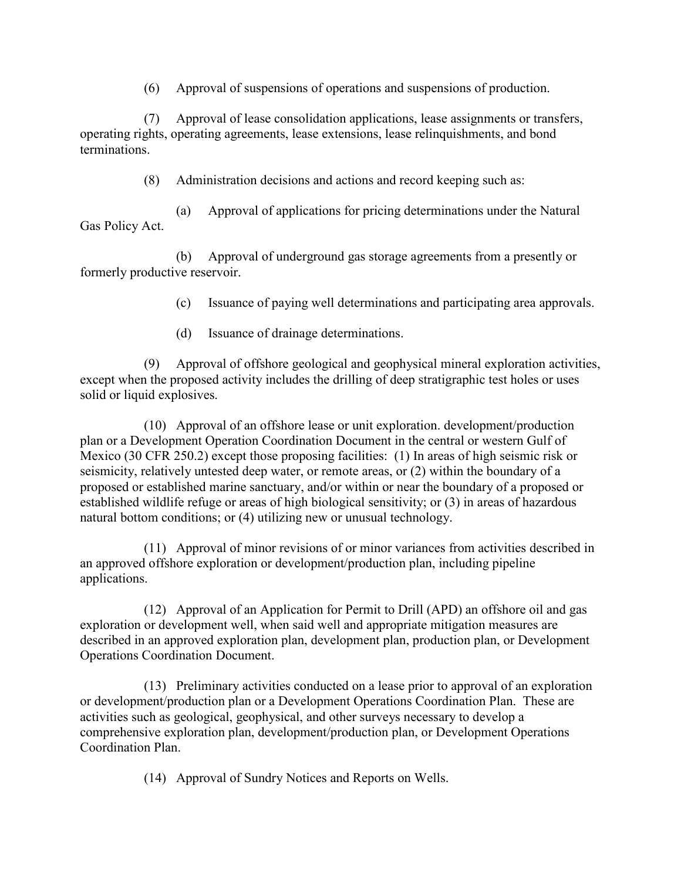(6) Approval of suspensions of operations and suspensions of production.

(7) Approval of lease consolidation applications, lease assignments or transfers, operating rights, operating agreements, lease extensions, lease relinquishments, and bond terminations.

(8) Administration decisions and actions and record keeping such as:

(a) Approval of applications for pricing determinations under the Natural Gas Policy Act.

(b) Approval of underground gas storage agreements from a presently or formerly productive reservoir.

(c) Issuance of paying well determinations and participating area approvals.

(d) Issuance of drainage determinations.

(9) Approval of offshore geological and geophysical mineral exploration activities, except when the proposed activity includes the drilling of deep stratigraphic test holes or uses solid or liquid explosives.

 Mexico (30 CFR 250.2) except those proposing facilities: (1) In areas of high seismic risk or seismicity, relatively untested deep water, or remote areas, or (2) within the boundary of a (10) Approval of an offshore lease or unit exploration. development/production plan or a Development Operation Coordination Document in the central or western Gulf of proposed or established marine sanctuary, and/or within or near the boundary of a proposed or established wildlife refuge or areas of high biological sensitivity; or (3) in areas of hazardous natural bottom conditions; or (4) utilizing new or unusual technology.

(11) Approval of minor revisions of or minor variances from activities described in an approved offshore exploration or development/production plan, including pipeline applications.

(12) Approval of an Application for Permit to Drill (APD) an offshore oil and gas exploration or development well, when said well and appropriate mitigation measures are described in an approved exploration plan, development plan, production plan, or Development Operations Coordination Document.

 activities such as geological, geophysical, and other surveys necessary to develop a (13) Preliminary activities conducted on a lease prior to approval of an exploration or development/production plan or a Development Operations Coordination Plan. These are comprehensive exploration plan, development/production plan, or Development Operations Coordination Plan.

(14) Approval of Sundry Notices and Reports on Wells.